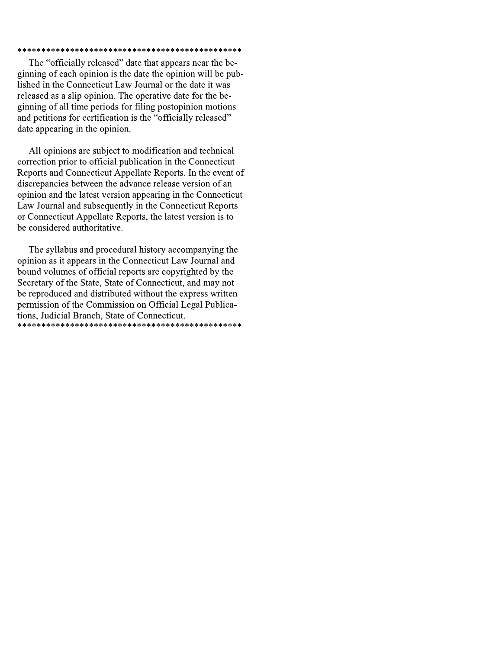### 

The "officially released" date that appears near the beginning of each opinion is the date the opinion will be published in the Connecticut Law Journal or the date it was released as a slip opinion. The operative date for the beginning of all time periods for filing postopinion motions and petitions for certification is the "officially released" date appearing in the opinion.

All opinions are subject to modification and technical correction prior to official publication in the Connecticut Reports and Connecticut Appellate Reports. In the event of discrepancies between the advance release version of an opinion and the latest version appearing in the Connecticut Law Journal and subsequently in the Connecticut Reports or Connecticut Appellate Reports, the latest version is to be considered authoritative.

The syllabus and procedural history accompanying the opinion as it appears in the Connecticut Law Journal and bound volumes of official reports are copyrighted by the Secretary of the State, State of Connecticut, and may not be reproduced and distributed without the express written permission of the Commission on Official Legal Publications, Judicial Branch, State of Connecticut.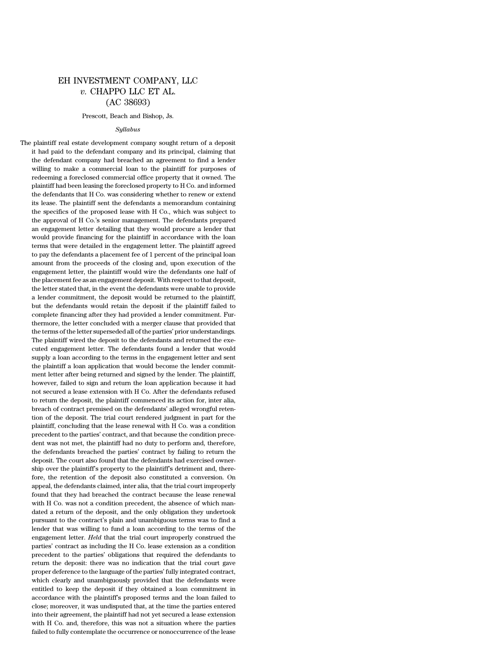# EH INVESTMENT COMPANY, LLC *v.* CHAPPO LLC ET AL. (AC 38693)

#### Prescott, Beach and Bishop, Js.

#### *Syllabus*

The plaintiff real estate development company sought return of a deposit it had paid to the defendant company and its principal, claiming that the defendant company had breached an agreement to find a lender willing to make a commercial loan to the plaintiff for purposes of redeeming a foreclosed commercial office property that it owned. The plaintiff had been leasing the foreclosed property to H Co. and informed the defendants that H Co. was considering whether to renew or extend its lease. The plaintiff sent the defendants a memorandum containing the specifics of the proposed lease with H Co., which was subject to the approval of H Co.'s senior management. The defendants prepared an engagement letter detailing that they would procure a lender that would provide financing for the plaintiff in accordance with the loan terms that were detailed in the engagement letter. The plaintiff agreed to pay the defendants a placement fee of 1 percent of the principal loan amount from the proceeds of the closing and, upon execution of the engagement letter, the plaintiff would wire the defendants one half of the placement fee as an engagement deposit. With respect to that deposit, the letter stated that, in the event the defendants were unable to provide a lender commitment, the deposit would be returned to the plaintiff, but the defendants would retain the deposit if the plaintiff failed to complete financing after they had provided a lender commitment. Furthermore, the letter concluded with a merger clause that provided that the terms of the letter superseded all of the parties' prior understandings. The plaintiff wired the deposit to the defendants and returned the executed engagement letter. The defendants found a lender that would supply a loan according to the terms in the engagement letter and sent the plaintiff a loan application that would become the lender commitment letter after being returned and signed by the lender. The plaintiff, however, failed to sign and return the loan application because it had not secured a lease extension with H Co. After the defendants refused to return the deposit, the plaintiff commenced its action for, inter alia, breach of contract premised on the defendants' alleged wrongful retention of the deposit. The trial court rendered judgment in part for the plaintiff, concluding that the lease renewal with H Co. was a condition precedent to the parties' contract, and that because the condition precedent was not met, the plaintiff had no duty to perform and, therefore, the defendants breached the parties' contract by failing to return the deposit. The court also found that the defendants had exercised ownership over the plaintiff's property to the plaintiff's detriment and, therefore, the retention of the deposit also constituted a conversion. On appeal, the defendants claimed, inter alia, that the trial court improperly found that they had breached the contract because the lease renewal with H Co. was not a condition precedent, the absence of which mandated a return of the deposit, and the only obligation they undertook pursuant to the contract's plain and unambiguous terms was to find a lender that was willing to fund a loan according to the terms of the engagement letter. *Held* that the trial court improperly construed the parties' contract as including the H Co. lease extension as a condition precedent to the parties' obligations that required the defendants to return the deposit: there was no indication that the trial court gave proper deference to the language of the parties' fully integrated contract, which clearly and unambiguously provided that the defendants were entitled to keep the deposit if they obtained a loan commitment in accordance with the plaintiff's proposed terms and the loan failed to close; moreover, it was undisputed that, at the time the parties entered into their agreement, the plaintiff had not yet secured a lease extension with H Co. and, therefore, this was not a situation where the parties failed to fully contemplate the occurrence or nonoccurrence of the lease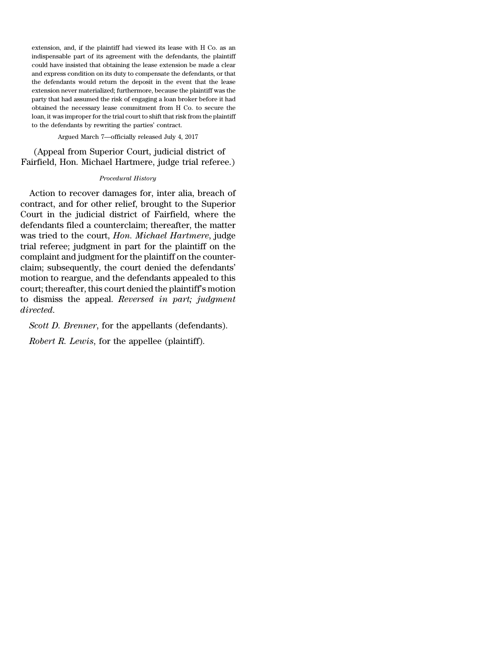extension, and, if the plaintiff had viewed its lease with H Co. as an indispensable part of its agreement with the defendants, the plaintiff could have insisted that obtaining the lease extension be made a clear and express condition on its duty to compensate the defendants, or that the defendants would return the deposit in the event that the lease extension never materialized; furthermore, because the plaintiff was the party that had assumed the risk of engaging a loan broker before it had obtained the necessary lease commitment from H Co. to secure the loan, it was improper for the trial court to shift that risk from the plaintiff to the defendants by rewriting the parties' contract.

Argued March 7—officially released July 4, 2017

(Appeal from Superior Court, judicial district of Fairfield, Hon. Michael Hartmere, judge trial referee.)

### *Procedural History*

Action to recover damages for, inter alia, breach of contract, and for other relief, brought to the Superior Court in the judicial district of Fairfield, where the defendants filed a counterclaim; thereafter, the matter was tried to the court, *Hon. Michael Hartmere*, judge trial referee; judgment in part for the plaintiff on the complaint and judgment for the plaintiff on the counterclaim; subsequently, the court denied the defendants' motion to reargue, and the defendants appealed to this court; thereafter, this court denied the plaintiff's motion to dismiss the appeal. *Reversed in part; judgment directed*.

*Scott D. Brenner*, for the appellants (defendants).

*Robert R. Lewis*, for the appellee (plaintiff).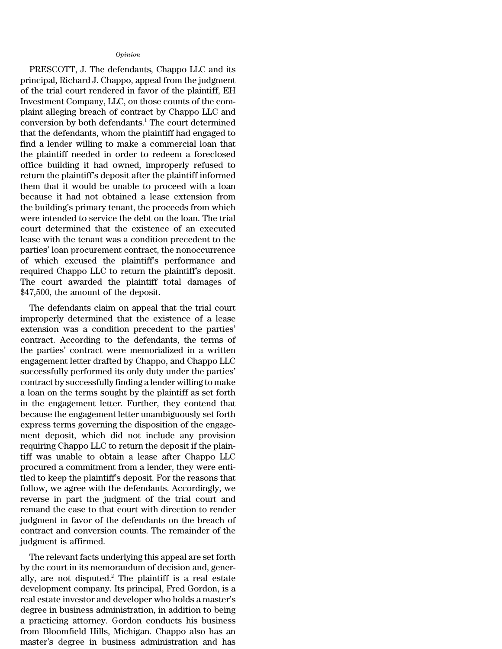## *Opinion*

PRESCOTT, J. The defendants, Chappo LLC and its principal, Richard J. Chappo, appeal from the judgment of the trial court rendered in favor of the plaintiff, EH Investment Company, LLC, on those counts of the complaint alleging breach of contract by Chappo LLC and conversion by both defendants.<sup>1</sup> The court determined that the defendants, whom the plaintiff had engaged to find a lender willing to make a commercial loan that the plaintiff needed in order to redeem a foreclosed office building it had owned, improperly refused to return the plaintiff's deposit after the plaintiff informed them that it would be unable to proceed with a loan because it had not obtained a lease extension from the building's primary tenant, the proceeds from which were intended to service the debt on the loan. The trial court determined that the existence of an executed lease with the tenant was a condition precedent to the parties' loan procurement contract, the nonoccurrence of which excused the plaintiff's performance and required Chappo LLC to return the plaintiff's deposit. The court awarded the plaintiff total damages of \$47,500, the amount of the deposit.

The defendants claim on appeal that the trial court improperly determined that the existence of a lease extension was a condition precedent to the parties' contract. According to the defendants, the terms of the parties' contract were memorialized in a written engagement letter drafted by Chappo, and Chappo LLC successfully performed its only duty under the parties' contract by successfully finding a lender willing to make a loan on the terms sought by the plaintiff as set forth in the engagement letter. Further, they contend that because the engagement letter unambiguously set forth express terms governing the disposition of the engagement deposit, which did not include any provision requiring Chappo LLC to return the deposit if the plaintiff was unable to obtain a lease after Chappo LLC procured a commitment from a lender, they were entitled to keep the plaintiff's deposit. For the reasons that follow, we agree with the defendants. Accordingly, we reverse in part the judgment of the trial court and remand the case to that court with direction to render judgment in favor of the defendants on the breach of contract and conversion counts. The remainder of the judgment is affirmed.

The relevant facts underlying this appeal are set forth by the court in its memorandum of decision and, generally, are not disputed.<sup>2</sup> The plaintiff is a real estate development company. Its principal, Fred Gordon, is a real estate investor and developer who holds a master's degree in business administration, in addition to being a practicing attorney. Gordon conducts his business from Bloomfield Hills, Michigan. Chappo also has an master's degree in business administration and has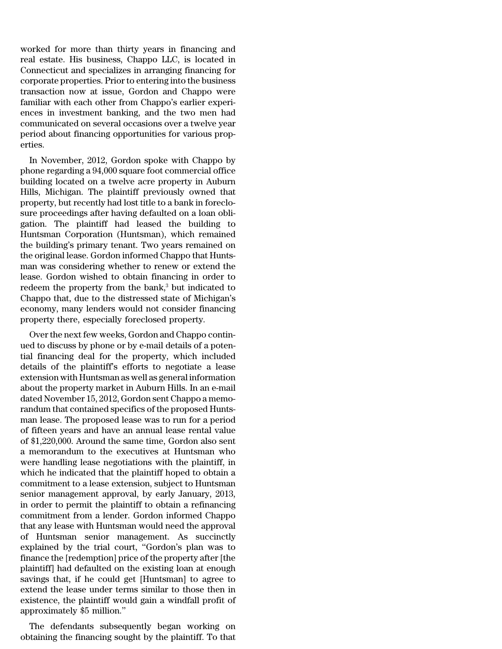worked for more than thirty years in financing and real estate. His business, Chappo LLC, is located in Connecticut and specializes in arranging financing for corporate properties. Prior to entering into the business transaction now at issue, Gordon and Chappo were familiar with each other from Chappo's earlier experiences in investment banking, and the two men had communicated on several occasions over a twelve year period about financing opportunities for various properties.

In November, 2012, Gordon spoke with Chappo by phone regarding a 94,000 square foot commercial office building located on a twelve acre property in Auburn Hills, Michigan. The plaintiff previously owned that property, but recently had lost title to a bank in foreclosure proceedings after having defaulted on a loan obligation. The plaintiff had leased the building to Huntsman Corporation (Huntsman), which remained the building's primary tenant. Two years remained on the original lease. Gordon informed Chappo that Huntsman was considering whether to renew or extend the lease. Gordon wished to obtain financing in order to redeem the property from the bank, $3$  but indicated to Chappo that, due to the distressed state of Michigan's economy, many lenders would not consider financing property there, especially foreclosed property.

Over the next few weeks, Gordon and Chappo continued to discuss by phone or by e-mail details of a potential financing deal for the property, which included details of the plaintiff's efforts to negotiate a lease extension with Huntsman as well as general information about the property market in Auburn Hills. In an e-mail dated November 15, 2012, Gordon sent Chappo a memorandum that contained specifics of the proposed Huntsman lease. The proposed lease was to run for a period of fifteen years and have an annual lease rental value of \$1,220,000. Around the same time, Gordon also sent a memorandum to the executives at Huntsman who were handling lease negotiations with the plaintiff, in which he indicated that the plaintiff hoped to obtain a commitment to a lease extension, subject to Huntsman senior management approval, by early January, 2013, in order to permit the plaintiff to obtain a refinancing commitment from a lender. Gordon informed Chappo that any lease with Huntsman would need the approval of Huntsman senior management. As succinctly explained by the trial court, ''Gordon's plan was to finance the [redemption] price of the property after [the plaintiff] had defaulted on the existing loan at enough savings that, if he could get [Huntsman] to agree to extend the lease under terms similar to those then in existence, the plaintiff would gain a windfall profit of approximately \$5 million.''

The defendants subsequently began working on obtaining the financing sought by the plaintiff. To that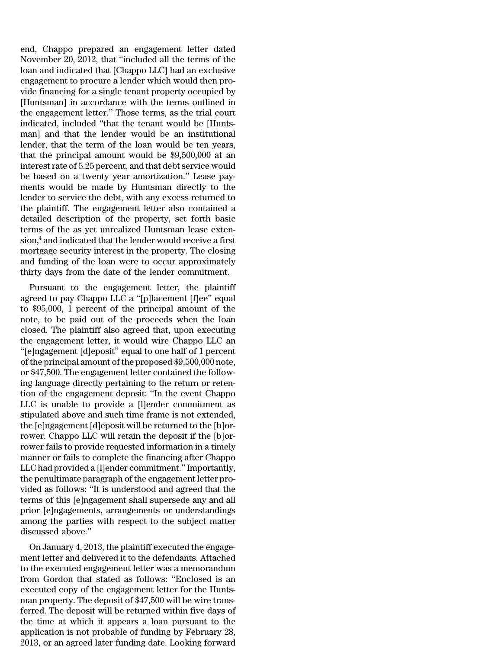end, Chappo prepared an engagement letter dated November 20, 2012, that ''included all the terms of the loan and indicated that [Chappo LLC] had an exclusive engagement to procure a lender which would then provide financing for a single tenant property occupied by [Huntsman] in accordance with the terms outlined in the engagement letter.'' Those terms, as the trial court indicated, included ''that the tenant would be [Huntsman] and that the lender would be an institutional lender, that the term of the loan would be ten years, that the principal amount would be \$9,500,000 at an interestrate of 5.25 percent, and that debt service would be based on a twenty year amortization.'' Lease payments would be made by Huntsman directly to the lender to service the debt, with any excess returned to the plaintiff. The engagement letter also contained a detailed description of the property, set forth basic terms of the as yet unrealized Huntsman lease exten $sion<sub>1</sub><sup>4</sup>$  and indicated that the lender would receive a first mortgage security interest in the property. The closing and funding of the loan were to occur approximately thirty days from the date of the lender commitment.

Pursuant to the engagement letter, the plaintiff agreed to pay Chappo LLC a ''[p]lacement [f]ee'' equal to \$95,000, 1 percent of the principal amount of the note, to be paid out of the proceeds when the loan closed. The plaintiff also agreed that, upon executing the engagement letter, it would wire Chappo LLC an ''[e]ngagement [d]eposit'' equal to one half of 1 percent of the principal amount of the proposed \$9,500,000 note, or \$47,500. The engagement letter contained the following language directly pertaining to the return or retention of the engagement deposit: ''In the event Chappo LLC is unable to provide a [l]ender commitment as stipulated above and such time frame is not extended, the [e]ngagement [d]eposit will be returned to the [b]orrower. Chappo LLC will retain the deposit if the [b]orrower fails to provide requested information in a timely manner or fails to complete the financing after Chappo LLC had provided a [l]ender commitment.'' Importantly, the penultimate paragraph of the engagement letter provided as follows: ''It is understood and agreed that the terms of this [e]ngagement shall supersede any and all prior [e]ngagements, arrangements or understandings among the parties with respect to the subject matter discussed above.''

On January 4, 2013, the plaintiff executed the engagement letter and delivered it to the defendants. Attached to the executed engagement letter was a memorandum from Gordon that stated as follows: ''Enclosed is an executed copy of the engagement letter for the Huntsman property. The deposit of \$47,500 will be wire transferred. The deposit will be returned within five days of the time at which it appears a loan pursuant to the application is not probable of funding by February 28, 2013, or an agreed later funding date. Looking forward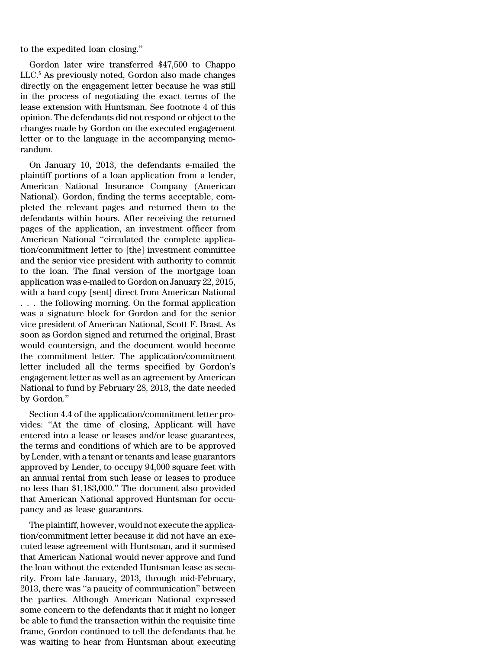to the expedited loan closing.''

Gordon later wire transferred \$47,500 to Chappo LLC.<sup>5</sup> As previously noted, Gordon also made changes directly on the engagement letter because he was still in the process of negotiating the exact terms of the lease extension with Huntsman. See footnote 4 of this opinion. The defendants did notrespond or object to the changes made by Gordon on the executed engagement letter or to the language in the accompanying memorandum.

On January 10, 2013, the defendants e-mailed the plaintiff portions of a loan application from a lender, American National Insurance Company (American National). Gordon, finding the terms acceptable, completed the relevant pages and returned them to the defendants within hours. After receiving the returned pages of the application, an investment officer from American National ''circulated the complete application/commitment letter to [the] investment committee and the senior vice president with authority to commit to the loan. The final version of the mortgage loan application was e-mailed to Gordon on January 22, 2015, with a hard copy [sent] direct from American National . . . the following morning. On the formal application was a signature block for Gordon and for the senior vice president of American National, Scott F. Brast. As soon as Gordon signed and returned the original, Brast would countersign, and the document would become the commitment letter. The application/commitment letter included all the terms specified by Gordon's engagement letter as well as an agreement by American National to fund by February 28, 2013, the date needed by Gordon.''

Section 4.4 of the application/commitment letter provides: ''At the time of closing, Applicant will have entered into a lease or leases and/or lease guarantees, the terms and conditions of which are to be approved by Lender, with a tenant or tenants and lease guarantors approved by Lender, to occupy 94,000 square feet with an annual rental from such lease or leases to produce no less than \$1,183,000.'' The document also provided that American National approved Huntsman for occupancy and as lease guarantors.

The plaintiff, however, would not execute the application/commitment letter because it did not have an executed lease agreement with Huntsman, and it surmised that American National would never approve and fund the loan without the extended Huntsman lease as security. From late January, 2013, through mid-February, 2013, there was ''a paucity of communication'' between the parties. Although American National expressed some concern to the defendants that it might no longer be able to fund the transaction within the requisite time frame, Gordon continued to tell the defendants that he was waiting to hear from Huntsman about executing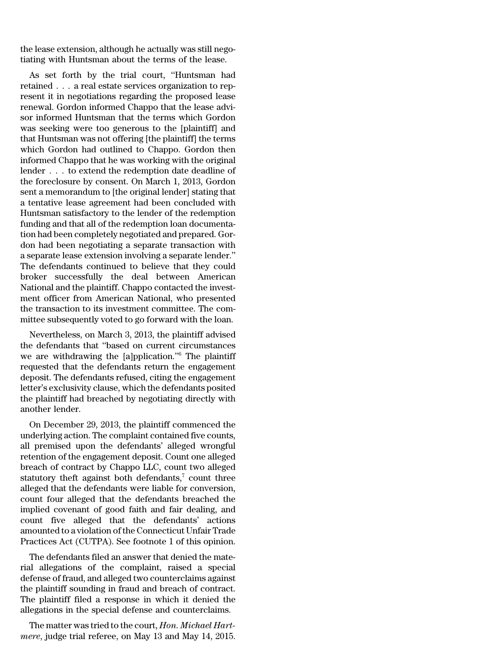the lease extension, although he actually was still negotiating with Huntsman about the terms of the lease.

As set forth by the trial court, ''Huntsman had retained . . . a real estate services organization to represent it in negotiations regarding the proposed lease renewal. Gordon informed Chappo that the lease advisor informed Huntsman that the terms which Gordon was seeking were too generous to the [plaintiff] and that Huntsman was not offering [the plaintiff] the terms which Gordon had outlined to Chappo. Gordon then informed Chappo that he was working with the original lender . . . to extend the redemption date deadline of the foreclosure by consent. On March 1, 2013, Gordon sent a memorandum to [the original lender] stating that a tentative lease agreement had been concluded with Huntsman satisfactory to the lender of the redemption funding and that all of the redemption loan documentation had been completely negotiated and prepared. Gordon had been negotiating a separate transaction with a separate lease extension involving a separate lender.'' The defendants continued to believe that they could broker successfully the deal between American National and the plaintiff. Chappo contacted the investment officer from American National, who presented the transaction to its investment committee. The committee subsequently voted to go forward with the loan.

Nevertheless, on March 3, 2013, the plaintiff advised the defendants that ''based on current circumstances we are withdrawing the [a]pplication.''<sup>6</sup> The plaintiff requested that the defendants return the engagement deposit. The defendants refused, citing the engagement letter's exclusivity clause, which the defendants posited the plaintiff had breached by negotiating directly with another lender.

On December 29, 2013, the plaintiff commenced the underlying action. The complaint contained five counts, all premised upon the defendants' alleged wrongful retention of the engagement deposit. Count one alleged breach of contract by Chappo LLC, count two alleged statutory theft against both defendants, $\bar{z}$  count three alleged that the defendants were liable for conversion, count four alleged that the defendants breached the implied covenant of good faith and fair dealing, and count five alleged that the defendants' actions amounted to a violation of the Connecticut Unfair Trade Practices Act (CUTPA). See footnote 1 of this opinion.

The defendants filed an answer that denied the material allegations of the complaint, raised a special defense of fraud, and alleged two counterclaims against the plaintiff sounding in fraud and breach of contract. The plaintiff filed a response in which it denied the allegations in the special defense and counterclaims.

The matter was tried to the court, *Hon. Michael Hartmere*, judge trial referee, on May 13 and May 14, 2015.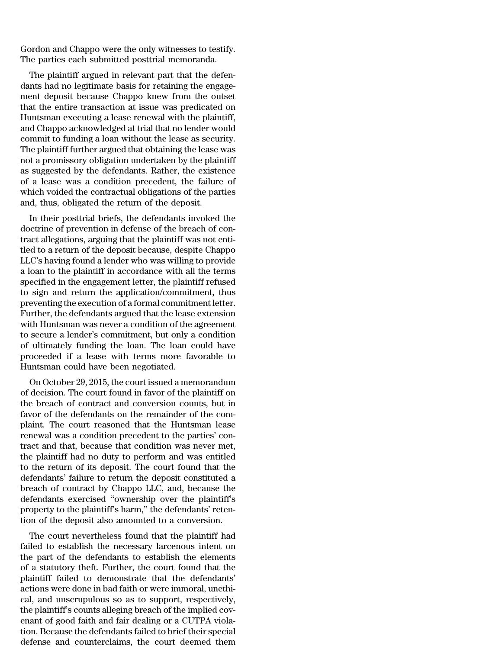Gordon and Chappo were the only witnesses to testify. The parties each submitted posttrial memoranda.

The plaintiff argued in relevant part that the defendants had no legitimate basis for retaining the engagement deposit because Chappo knew from the outset that the entire transaction at issue was predicated on Huntsman executing a lease renewal with the plaintiff, and Chappo acknowledged at trial that no lender would commit to funding a loan without the lease as security. The plaintiff further argued that obtaining the lease was not a promissory obligation undertaken by the plaintiff as suggested by the defendants. Rather, the existence of a lease was a condition precedent, the failure of which voided the contractual obligations of the parties and, thus, obligated the return of the deposit.

In their posttrial briefs, the defendants invoked the doctrine of prevention in defense of the breach of contract allegations, arguing that the plaintiff was not entitled to a return of the deposit because, despite Chappo LLC's having found a lender who was willing to provide a loan to the plaintiff in accordance with all the terms specified in the engagement letter, the plaintiff refused to sign and return the application/commitment, thus preventing the execution of a formal commitment letter. Further, the defendants argued that the lease extension with Huntsman was never a condition of the agreement to secure a lender's commitment, but only a condition of ultimately funding the loan. The loan could have proceeded if a lease with terms more favorable to Huntsman could have been negotiated.

On October 29, 2015, the court issued a memorandum of decision. The court found in favor of the plaintiff on the breach of contract and conversion counts, but in favor of the defendants on the remainder of the complaint. The court reasoned that the Huntsman lease renewal was a condition precedent to the parties' contract and that, because that condition was never met, the plaintiff had no duty to perform and was entitled to the return of its deposit. The court found that the defendants' failure to return the deposit constituted a breach of contract by Chappo LLC, and, because the defendants exercised ''ownership over the plaintiff's property to the plaintiff's harm,'' the defendants' retention of the deposit also amounted to a conversion.

The court nevertheless found that the plaintiff had failed to establish the necessary larcenous intent on the part of the defendants to establish the elements of a statutory theft. Further, the court found that the plaintiff failed to demonstrate that the defendants' actions were done in bad faith or were immoral, unethical, and unscrupulous so as to support, respectively, the plaintiff's counts alleging breach of the implied covenant of good faith and fair dealing or a CUTPA violation. Because the defendants failed to brief their special defense and counterclaims, the court deemed them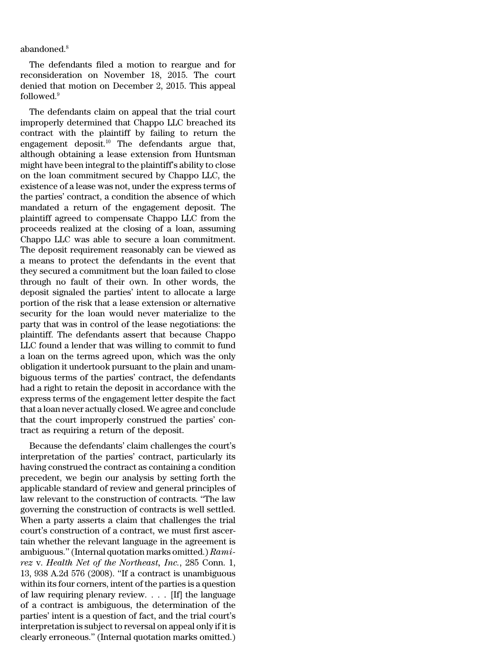abandoned.<sup>8</sup>

The defendants filed a motion to reargue and for reconsideration on November 18, 2015. The court denied that motion on December 2, 2015. This appeal followed.<sup>9</sup>

The defendants claim on appeal that the trial court improperly determined that Chappo LLC breached its contract with the plaintiff by failing to return the engagement deposit.<sup>10</sup> The defendants argue that, although obtaining a lease extension from Huntsman might have been integral to the plaintiff's ability to close on the loan commitment secured by Chappo LLC, the existence of a lease was not, under the express terms of the parties' contract, a condition the absence of which mandated a return of the engagement deposit. The plaintiff agreed to compensate Chappo LLC from the proceeds realized at the closing of a loan, assuming Chappo LLC was able to secure a loan commitment. The deposit requirement reasonably can be viewed as a means to protect the defendants in the event that they secured a commitment but the loan failed to close through no fault of their own. In other words, the deposit signaled the parties' intent to allocate a large portion of the risk that a lease extension or alternative security for the loan would never materialize to the party that was in control of the lease negotiations: the plaintiff. The defendants assert that because Chappo LLC found a lender that was willing to commit to fund a loan on the terms agreed upon, which was the only obligation it undertook pursuant to the plain and unambiguous terms of the parties' contract, the defendants had a right to retain the deposit in accordance with the express terms of the engagement letter despite the fact that a loan never actually closed. We agree and conclude that the court improperly construed the parties' contract as requiring a return of the deposit.

Because the defendants' claim challenges the court's interpretation of the parties' contract, particularly its having construed the contract as containing a condition precedent, we begin our analysis by setting forth the applicable standard of review and general principles of law relevant to the construction of contracts. ''The law governing the construction of contracts is well settled. When a party asserts a claim that challenges the trial court's construction of a contract, we must first ascertain whether the relevant language in the agreement is ambiguous.''(Internal quotation marks omitted.) *Ramirez* v. *Health Net of the Northeast, Inc.*, 285 Conn. 1, 13, 938 A.2d 576 (2008). ''If a contract is unambiguous within its four corners, intent of the parties is a question of law requiring plenary review. . . . [If] the language of a contract is ambiguous, the determination of the parties' intent is a question of fact, and the trial court's interpretation is subject to reversal on appeal only if it is clearly erroneous.'' (Internal quotation marks omitted.)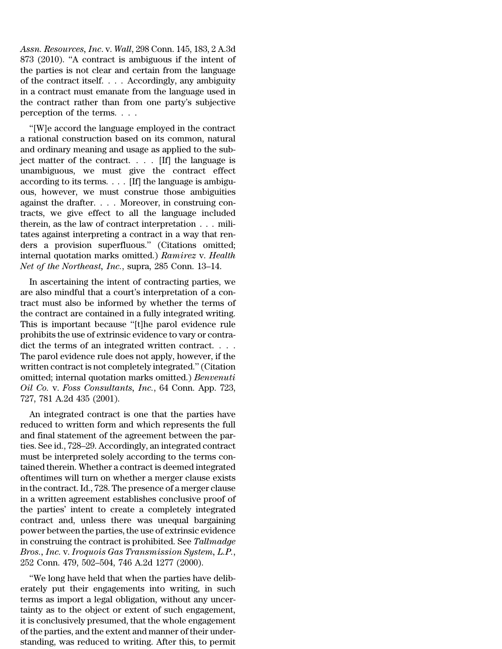*Assn. Resources, Inc*. v. *Wall*, 298 Conn. 145, 183, 2 A.3d 873 (2010). ''A contract is ambiguous if the intent of the parties is not clear and certain from the language of the contract itself. . . . Accordingly, any ambiguity in a contract must emanate from the language used in the contract rather than from one party's subjective perception of the terms. . . .

''[W]e accord the language employed in the contract a rational construction based on its common, natural and ordinary meaning and usage as applied to the subject matter of the contract. . . . [If] the language is unambiguous, we must give the contract effect according to its terms. . . . [If] the language is ambiguous, however, we must construe those ambiguities against the drafter. . . . Moreover, in construing contracts, we give effect to all the language included therein, as the law of contract interpretation . . . militates against interpreting a contract in a way that renders a provision superfluous.'' (Citations omitted; internal quotation marks omitted.) *Ramirez* v. *Health Net of the Northeast, Inc.*, supra, 285 Conn. 13–14.

In ascertaining the intent of contracting parties, we are also mindful that a court's interpretation of a contract must also be informed by whether the terms of the contract are contained in a fully integrated writing. This is important because ''[t]he parol evidence rule prohibits the use of extrinsic evidence to vary or contradict the terms of an integrated written contract. . . . The parol evidence rule does not apply, however, if the written contract is not completely integrated.''(Citation omitted; internal quotation marks omitted.) *Benvenuti Oil Co.* v. *Foss Consultants, Inc.*, 64 Conn. App. 723, 727, 781 A.2d 435 (2001).

An integrated contract is one that the parties have reduced to written form and which represents the full and final statement of the agreement between the parties. See id., 728–29. Accordingly, an integrated contract must be interpreted solely according to the terms contained therein. Whether a contract is deemed integrated oftentimes will turn on whether a merger clause exists in the contract. Id., 728. The presence of a merger clause in a written agreement establishes conclusive proof of the parties' intent to create a completely integrated contract and, unless there was unequal bargaining power between the parties, the use of extrinsic evidence in construing the contract is prohibited. See *Tallmadge Bros., Inc.* v. *Iroquois Gas Transmission System, L.P.*, 252 Conn. 479, 502–504, 746 A.2d 1277 (2000).

''We long have held that when the parties have deliberately put their engagements into writing, in such terms as import a legal obligation, without any uncertainty as to the object or extent of such engagement, it is conclusively presumed, that the whole engagement of the parties, and the extent and manner of their understanding, was reduced to writing. After this, to permit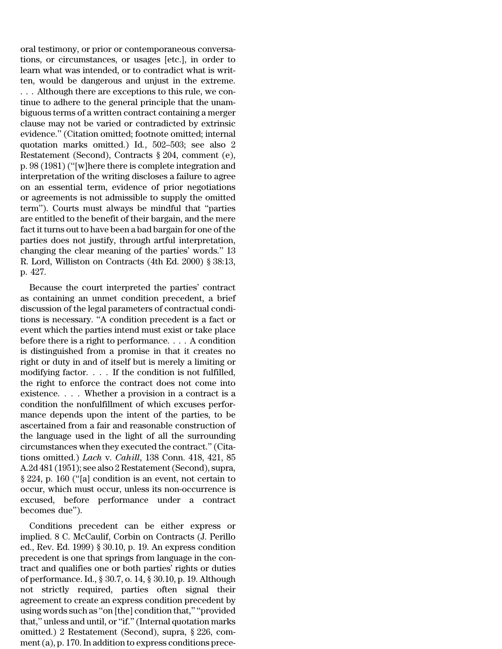oral testimony, or prior or contemporaneous conversations, or circumstances, or usages [etc.], in order to learn what was intended, or to contradict what is written, would be dangerous and unjust in the extreme.

. . . Although there are exceptions to this rule, we continue to adhere to the general principle that the unambiguous terms of a written contract containing a merger clause may not be varied or contradicted by extrinsic evidence.'' (Citation omitted; footnote omitted; internal quotation marks omitted.) Id*.*, 502–503; see also 2 Restatement (Second), Contracts § 204, comment (e), p. 98 (1981) (''[w]here there is complete integration and interpretation of the writing discloses a failure to agree on an essential term, evidence of prior negotiations or agreements is not admissible to supply the omitted term''). Courts must always be mindful that ''parties are entitled to the benefit of their bargain, and the mere fact it turns out to have been a bad bargain for one of the parties does not justify, through artful interpretation, changing the clear meaning of the parties' words.'' 13 R. Lord, Williston on Contracts (4th Ed. 2000) § 38:13, p. 427.

Because the court interpreted the parties' contract as containing an unmet condition precedent, a brief discussion of the legal parameters of contractual conditions is necessary. ''A condition precedent is a fact or event which the parties intend must exist or take place before there is a right to performance. . . . A condition is distinguished from a promise in that it creates no right or duty in and of itself but is merely a limiting or modifying factor. . . . If the condition is not fulfilled, the right to enforce the contract does not come into existence. . . . Whether a provision in a contract is a condition the nonfulfillment of which excuses performance depends upon the intent of the parties, to be ascertained from a fair and reasonable construction of the language used in the light of all the surrounding circumstances when they executed the contract.'' (Citations omitted.) *Lach* v. *Cahill*, 138 Conn. 418, 421, 85 A.2d 481 (1951); see also 2 Restatement (Second), supra, § 224, p. 160 (''[a] condition is an event, not certain to occur, which must occur, unless its non-occurrence is excused, before performance under a contract becomes due'').

Conditions precedent can be either express or implied. 8 C. McCaulif, Corbin on Contracts (J. Perillo ed., Rev. Ed. 1999) § 30.10, p. 19. An express condition precedent is one that springs from language in the contract and qualifies one or both parties' rights or duties of performance. Id., § 30.7, o. 14, § 30.10, p. 19. Although not strictly required, parties often signal their agreement to create an express condition precedent by using words such as ''on [the] condition that,'' ''provided that,'' unless and until, or''if.''(Internal quotation marks omitted.) 2 Restatement (Second), supra, § 226, comment(a), p. 170. In addition to express conditions prece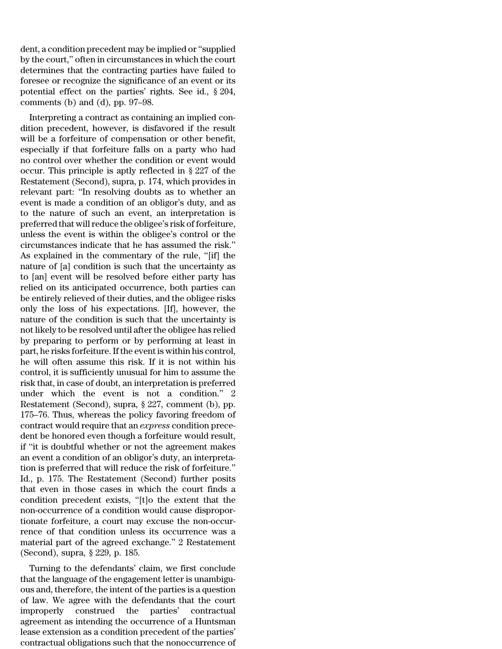dent, a condition precedent may be implied or''supplied by the court,'' often in circumstances in which the court determines that the contracting parties have failed to foresee or recognize the significance of an event or its potential effect on the parties' rights. See id., § 204, comments (b) and (d), pp. 97–98.

Interpreting a contract as containing an implied condition precedent, however, is disfavored if the result will be a forfeiture of compensation or other benefit, especially if that forfeiture falls on a party who had no control over whether the condition or event would occur. This principle is aptly reflected in § 227 of the Restatement (Second), supra, p. 174, which provides in relevant part: ''In resolving doubts as to whether an event is made a condition of an obligor's duty, and as to the nature of such an event, an interpretation is preferred that will reduce the obligee's risk of forfeiture, unless the event is within the obligee's control or the circumstances indicate that he has assumed the risk.'' As explained in the commentary of the rule, ''[if] the nature of [a] condition is such that the uncertainty as to [an] event will be resolved before either party has relied on its anticipated occurrence, both parties can be entirely relieved of their duties, and the obligee risks only the loss of his expectations. [If], however, the nature of the condition is such that the uncertainty is not likely to be resolved until afterthe obligee has relied by preparing to perform or by performing at least in part, he risks forfeiture. If the event is within his control, he will often assume this risk. If it is not within his control, it is sufficiently unusual for him to assume the risk that, in case of doubt, an interpretation is preferred under which the event is not a condition.'' 2 Restatement (Second), supra, § 227, comment (b), pp. 175–76. Thus, whereas the policy favoring freedom of contract would require that an *express* condition precedent be honored even though a forfeiture would result, if ''it is doubtful whether or not the agreement makes an event a condition of an obligor's duty, an interpretation is preferred that will reduce the risk of forfeiture.'' Id., p. 175. The Restatement (Second) further posits that even in those cases in which the court finds a condition precedent exists, ''[t]o the extent that the non-occurrence of a condition would cause disproportionate forfeiture, a court may excuse the non-occurrence of that condition unless its occurrence was a material part of the agreed exchange.'' 2 Restatement (Second), supra, § 229, p. 185.

Turning to the defendants' claim, we first conclude that the language of the engagement letter is unambiguous and, therefore, the intent of the parties is a question of law. We agree with the defendants that the court improperly construed the parties' contractual agreement as intending the occurrence of a Huntsman lease extension as a condition precedent of the parties' contractual obligations such that the nonoccurrence of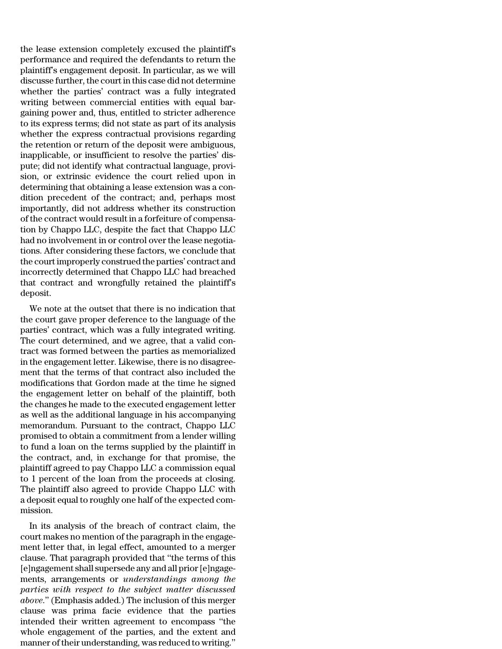the lease extension completely excused the plaintiff's performance and required the defendants to return the plaintiff's engagement deposit. In particular, as we will discusse further, the court in this case did not determine whether the parties' contract was a fully integrated writing between commercial entities with equal bargaining power and, thus, entitled to stricter adherence to its express terms; did not state as part of its analysis whether the express contractual provisions regarding the retention or return of the deposit were ambiguous, inapplicable, or insufficient to resolve the parties' dispute; did not identify what contractual language, provision, or extrinsic evidence the court relied upon in determining that obtaining a lease extension was a condition precedent of the contract; and, perhaps most importantly, did not address whether its construction of the contract would result in a forfeiture of compensation by Chappo LLC, despite the fact that Chappo LLC had no involvement in or control over the lease negotiations. After considering these factors, we conclude that the courtimproperly construed the parties' contract and incorrectly determined that Chappo LLC had breached that contract and wrongfully retained the plaintiff's deposit.

We note at the outset that there is no indication that the court gave proper deference to the language of the parties' contract, which was a fully integrated writing. The court determined, and we agree, that a valid contract was formed between the parties as memorialized in the engagement letter. Likewise, there is no disagreement that the terms of that contract also included the modifications that Gordon made at the time he signed the engagement letter on behalf of the plaintiff, both the changes he made to the executed engagement letter as well as the additional language in his accompanying memorandum. Pursuant to the contract, Chappo LLC promised to obtain a commitment from a lender willing to fund a loan on the terms supplied by the plaintiff in the contract, and, in exchange for that promise, the plaintiff agreed to pay Chappo LLC a commission equal to 1 percent of the loan from the proceeds at closing. The plaintiff also agreed to provide Chappo LLC with a deposit equal to roughly one half of the expected commission.

In its analysis of the breach of contract claim, the court makes no mention of the paragraph in the engagement letter that, in legal effect, amounted to a merger clause. That paragraph provided that ''the terms of this [e]ngagement shall supersede any and all prior[e]ngagements, arrangements or *understandings among the parties with respect to the subject matter discussed above*.'' (Emphasis added.) The inclusion of this merger clause was prima facie evidence that the parties intended their written agreement to encompass ''the whole engagement of the parties, and the extent and manner of their understanding, was reduced to writing.''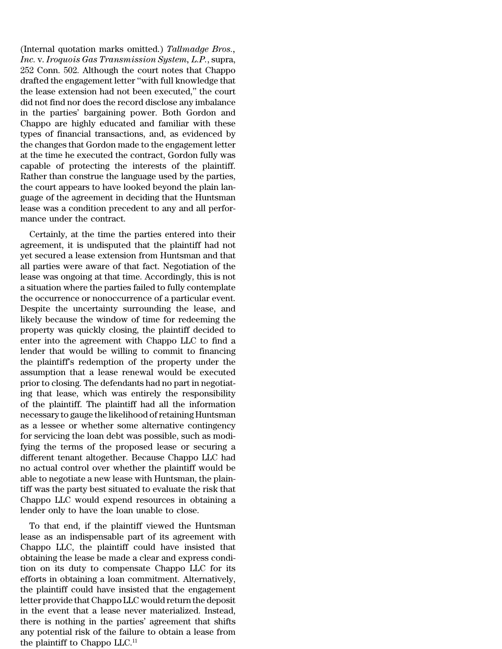(Internal quotation marks omitted.) *Tallmadge Bros., Inc.* v. *Iroquois Gas Transmission System, L.P.*, supra, 252 Conn. 502. Although the court notes that Chappo drafted the engagement letter ''with full knowledge that the lease extension had not been executed,'' the court did not find nor does the record disclose any imbalance in the parties' bargaining power. Both Gordon and Chappo are highly educated and familiar with these types of financial transactions, and, as evidenced by the changes that Gordon made to the engagement letter at the time he executed the contract, Gordon fully was capable of protecting the interests of the plaintiff. Rather than construe the language used by the parties, the court appears to have looked beyond the plain language of the agreement in deciding that the Huntsman lease was a condition precedent to any and all performance under the contract.

Certainly, at the time the parties entered into their agreement, it is undisputed that the plaintiff had not yet secured a lease extension from Huntsman and that all parties were aware of that fact. Negotiation of the lease was ongoing at that time. Accordingly, this is not a situation where the parties failed to fully contemplate the occurrence or nonoccurrence of a particular event. Despite the uncertainty surrounding the lease, and likely because the window of time for redeeming the property was quickly closing, the plaintiff decided to enter into the agreement with Chappo LLC to find a lender that would be willing to commit to financing the plaintiff's redemption of the property under the assumption that a lease renewal would be executed prior to closing. The defendants had no part in negotiating that lease, which was entirely the responsibility of the plaintiff. The plaintiff had all the information necessary to gauge the likelihood of retaining Huntsman as a lessee or whether some alternative contingency for servicing the loan debt was possible, such as modifying the terms of the proposed lease or securing a different tenant altogether. Because Chappo LLC had no actual control over whether the plaintiff would be able to negotiate a new lease with Huntsman, the plaintiff was the party best situated to evaluate the risk that Chappo LLC would expend resources in obtaining a lender only to have the loan unable to close.

To that end, if the plaintiff viewed the Huntsman lease as an indispensable part of its agreement with Chappo LLC, the plaintiff could have insisted that obtaining the lease be made a clear and express condition on its duty to compensate Chappo LLC for its efforts in obtaining a loan commitment. Alternatively, the plaintiff could have insisted that the engagement letter provide that Chappo LLC would return the deposit in the event that a lease never materialized. Instead, there is nothing in the parties' agreement that shifts any potential risk of the failure to obtain a lease from the plaintiff to Chappo LLC.<sup>11</sup>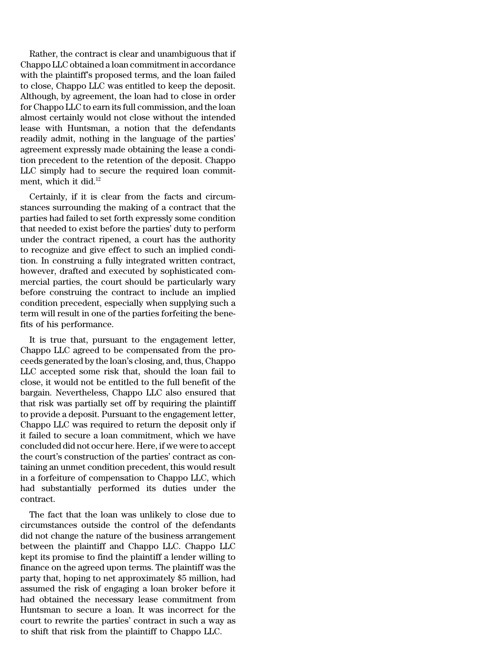Rather, the contract is clear and unambiguous that if Chappo LLC obtained a loan commitment in accordance with the plaintiff's proposed terms, and the loan failed to close, Chappo LLC was entitled to keep the deposit. Although, by agreement, the loan had to close in order for Chappo LLC to earn its full commission, and the loan almost certainly would not close without the intended lease with Huntsman, a notion that the defendants readily admit, nothing in the language of the parties' agreement expressly made obtaining the lease a condition precedent to the retention of the deposit. Chappo LLC simply had to secure the required loan commitment, which it did.<sup>12</sup>

Certainly, if it is clear from the facts and circumstances surrounding the making of a contract that the parties had failed to set forth expressly some condition that needed to exist before the parties' duty to perform under the contract ripened, a court has the authority to recognize and give effect to such an implied condition. In construing a fully integrated written contract, however, drafted and executed by sophisticated commercial parties, the court should be particularly wary before construing the contract to include an implied condition precedent, especially when supplying such a term will result in one of the parties forfeiting the benefits of his performance.

It is true that, pursuant to the engagement letter, Chappo LLC agreed to be compensated from the proceeds generated by the loan's closing, and, thus, Chappo LLC accepted some risk that, should the loan fail to close, it would not be entitled to the full benefit of the bargain. Nevertheless, Chappo LLC also ensured that that risk was partially set off by requiring the plaintiff to provide a deposit. Pursuant to the engagement letter, Chappo LLC was required to return the deposit only if it failed to secure a loan commitment, which we have concluded did not occur here. Here, if we were to accept the court's construction of the parties' contract as containing an unmet condition precedent, this would result in a forfeiture of compensation to Chappo LLC, which had substantially performed its duties under the contract.

The fact that the loan was unlikely to close due to circumstances outside the control of the defendants did not change the nature of the business arrangement between the plaintiff and Chappo LLC. Chappo LLC kept its promise to find the plaintiff a lender willing to finance on the agreed upon terms. The plaintiff was the party that, hoping to net approximately \$5 million, had assumed the risk of engaging a loan broker before it had obtained the necessary lease commitment from Huntsman to secure a loan. It was incorrect for the court to rewrite the parties' contract in such a way as to shift that risk from the plaintiff to Chappo LLC.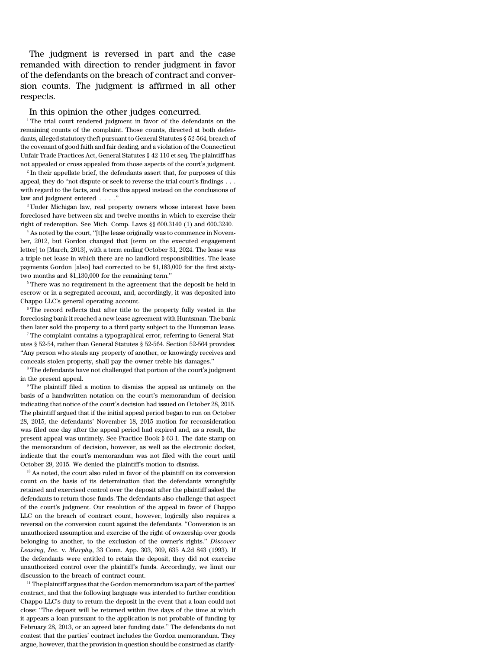The judgment is reversed in part and the case remanded with direction to render judgment in favor of the defendants on the breach of contract and conversion counts. The judgment is affirmed in all other respects.

### In this opinion the other judges concurred.

<sup>1</sup> The trial court rendered judgment in favor of the defendants on the remaining counts of the complaint. Those counts, directed at both defendants, alleged statutory theft pursuant to General Statutes § 52-564, breach of the covenant of good faith and fair dealing, and a violation of the Connecticut Unfair Trade Practices Act, General Statutes § 42-110 et seq. The plaintiff has not appealed or cross appealed from those aspects of the court's judgment.

2 In their appellate brief, the defendants assert that, for purposes of this appeal, they do "not dispute or seek to reverse the trial court's findings . . . with regard to the facts, and focus this appeal instead on the conclusions of law and judgment entered . . . .''

<sup>3</sup> Under Michigan law, real property owners whose interest have been foreclosed have between six and twelve months in which to exercise their right of redemption. See Mich. Comp. Laws §§ 600.3140 (1) and 600.3240.

<sup>4</sup> As noted by the court, "[t]he lease originally was to commence in November, 2012, but Gordon changed that [term on the executed engagement letter] to [March, 2013], with a term ending October 31, 2024. The lease was a triple net lease in which there are no landlord responsibilities. The lease payments Gordon [also] had corrected to be \$1,183,000 for the first sixtytwo months and \$1,130,000 for the remaining term.''

 $^{\rm 5}$  There was no requirement in the agreement that the deposit be held in escrow or in a segregated account, and, accordingly, it was deposited into Chappo LLC's general operating account.

 $6$  The record reflects that after title to the property fully vested in the foreclosing bank itreached a new lease agreement with Huntsman. The bank then later sold the property to a third party subject to the Huntsman lease.

<sup>7</sup> The complaint contains a typographical error, referring to General Statutes § 52-54, rather than General Statutes § 52-564. Section 52-564 provides: ''Any person who steals any property of another, or knowingly receives and conceals stolen property, shall pay the owner treble his damages.''

<sup>8</sup> The defendants have not challenged that portion of the court's judgment in the present appeal.

<sup>9</sup> The plaintiff filed a motion to dismiss the appeal as untimely on the basis of a handwritten notation on the court's memorandum of decision indicating that notice of the court's decision had issued on October 28, 2015. The plaintiff argued that if the initial appeal period began to run on October 28, 2015, the defendants' November 18, 2015 motion for reconsideration was filed one day after the appeal period had expired and, as a result, the present appeal was untimely. See Practice Book § 63-1. The date stamp on the memorandum of decision, however, as well as the electronic docket, indicate that the court's memorandum was not filed with the court until October 29, 2015. We denied the plaintiff's motion to dismiss.

<sup>10</sup> As noted, the court also ruled in favor of the plaintiff on its conversion count on the basis of its determination that the defendants wrongfully retained and exercised control over the deposit after the plaintiff asked the defendants to return those funds. The defendants also challenge that aspect of the court's judgment. Our resolution of the appeal in favor of Chappo LLC on the breach of contract count, however, logically also requires a reversal on the conversion count against the defendants. ''Conversion is an unauthorized assumption and exercise of the right of ownership over goods belonging to another, to the exclusion of the owner's rights.'' *Discover Leasing, Inc.* v. *Murphy*, 33 Conn. App. 303, 309, 635 A.2d 843 (1993). If the defendants were entitled to retain the deposit, they did not exercise unauthorized control over the plaintiff's funds. Accordingly, we limit our discussion to the breach of contract count.

 $11$  The plaintiff argues that the Gordon memorandum is a part of the parties' contract, and that the following language was intended to further condition Chappo LLC's duty to return the deposit in the event that a loan could not close: ''The deposit will be returned within five days of the time at which it appears a loan pursuant to the application is not probable of funding by February 28, 2013, or an agreed later funding date.'' The defendants do not contest that the parties' contract includes the Gordon memorandum. They argue, however, that the provision in question should be construed as clarify